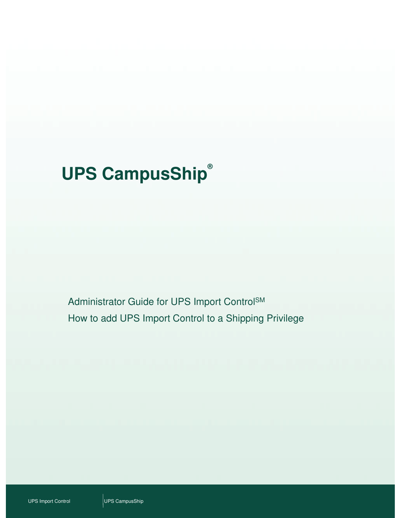# **UPS CampusShip®**

Administrator Guide for UPS Import ControlSM How to add UPS Import Control to a Shipping Privilege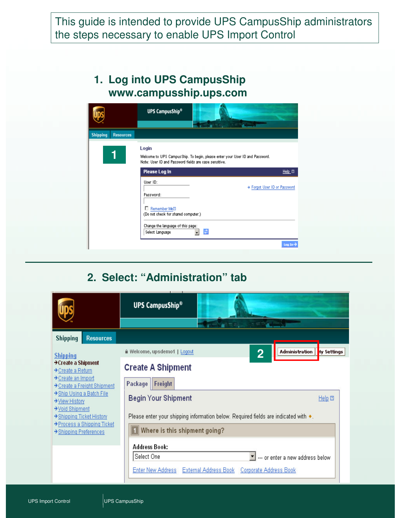This guide is intended to provide UPS CampusShip administrators the steps necessary to enable UPS Import Control

#### **1. Log into UPS CampusShip www.campusship.ups.com**

|                                     | <b>UPS CampusShip®</b>                                         |                                                                               |                            |
|-------------------------------------|----------------------------------------------------------------|-------------------------------------------------------------------------------|----------------------------|
|                                     |                                                                |                                                                               | $-1$                       |
| <b>Shipping</b><br><b>Resources</b> |                                                                |                                                                               |                            |
|                                     | Login<br>Note: User ID and Password fields are case sensitive. | Welcome to UPS Campus Ship. To begin, please enter your User ID and Password. |                            |
|                                     | Please Log In                                                  |                                                                               | $Heip$ $\Box$              |
|                                     | User ID:                                                       |                                                                               | Forgot User ID or Password |
|                                     | Password:                                                      |                                                                               |                            |
|                                     | Remember Mell<br>п.<br>(Do not check for shared computer.)     |                                                                               |                            |
|                                     | Change the language of this page:<br>Select Language           | ø<br>$\overline{\phantom{a}}$                                                 |                            |
|                                     |                                                                |                                                                               | $Log In-$                  |

## **2. Select: "Administration" tab**

|                                                                             | <b>UPS CampusShip®</b>                                                                                                                                        |                    |  |  |  |
|-----------------------------------------------------------------------------|---------------------------------------------------------------------------------------------------------------------------------------------------------------|--------------------|--|--|--|
|                                                                             |                                                                                                                                                               |                    |  |  |  |
| <b>Shipping</b><br><b>Resources</b>                                         |                                                                                                                                                               |                    |  |  |  |
| <b>Shipping</b>                                                             | Welcome, upsdemo1   Logout<br><b>Administration</b><br>$\bf{2}$                                                                                               | ly Settings        |  |  |  |
| → Create a Shipment<br>→ Create a Return                                    | <b>Create A Shipment</b>                                                                                                                                      |                    |  |  |  |
| → Create an Import<br>→ Create a Freight Shipment                           | Freight<br>Package                                                                                                                                            |                    |  |  |  |
| → Ship Using a Batch File<br>→ View History                                 | <b>Begin Your Shipment</b>                                                                                                                                    | Help <sub>ED</sub> |  |  |  |
| → Void Shipment<br>→ Shipping Ticket History<br>→ Process a Shipping Ticket | Please enter your shipping information below. Required fields are indicated with $\bullet$ .                                                                  |                    |  |  |  |
| → Shipping Preferences                                                      | Where is this shipment going?                                                                                                                                 |                    |  |  |  |
|                                                                             | <b>Address Book:</b><br>Select One<br>--- or enter a new address below.<br><b>Enter New Address</b><br><b>External Address Book</b><br>Corporate Address Book |                    |  |  |  |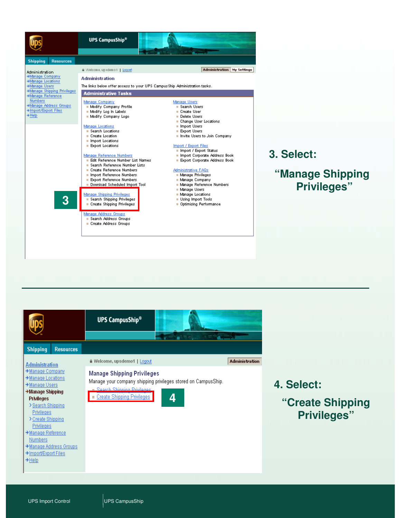



**"Manage Shipping Privileges"**

|                                                                                                                                                                                                                                                                                                                                      | <b>UPS CampusShip®</b>                                                                                                                                                          |                       |
|--------------------------------------------------------------------------------------------------------------------------------------------------------------------------------------------------------------------------------------------------------------------------------------------------------------------------------------|---------------------------------------------------------------------------------------------------------------------------------------------------------------------------------|-----------------------|
| <b>Shipping</b><br><b>Resources</b>                                                                                                                                                                                                                                                                                                  |                                                                                                                                                                                 |                       |
| <b>Administration</b>                                                                                                                                                                                                                                                                                                                | ≙ Welcome, upsdemo1   Logout                                                                                                                                                    | <b>Administration</b> |
| → Manage Company<br>$\rightarrow$ Manage Locations<br>→ Manage Users<br>$\rightarrow$ Manage Shipping<br>Privileges<br>> Search Shipping<br><b>Privileges</b><br>> Create Shipping<br><b>Privileges</b><br>→ Manage Reference<br><b>Numbers</b><br>$\rightarrow$ Manage Address Groups<br>>Import/Export Files<br>$\rightarrow$ Help | <b>Manage Shipping Privileges</b><br>Manage your company shipping privileges stored on CampusShip.<br><b>v. Rearch Shinning Privilence</b><br>. Create Shipping Privileges<br>4 |                       |

- **4. Select:**
	- **"Create Shipping Privileges"**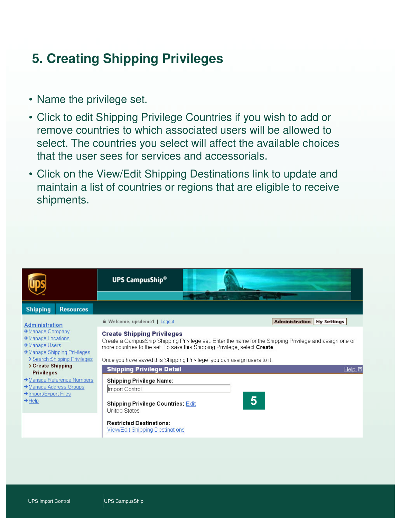## **5. Creating Shipping Privileges**

- Name the privilege set.
- Click to edit Shipping Privilege Countries if you wish to add or remove countries to which associated users will be allowed to select. The countries you select will affect the available choices that the user sees for services and accessorials.
- Click on the View/Edit Shipping Destinations link to update and maintain a list of countries or regions that are eligible to receive shipments.

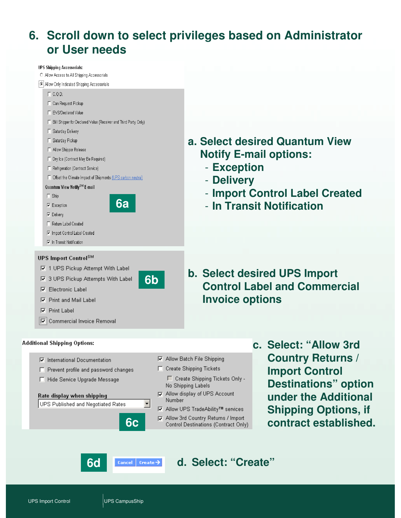## **6. Scroll down to select privileges based on Administrator or User needs**